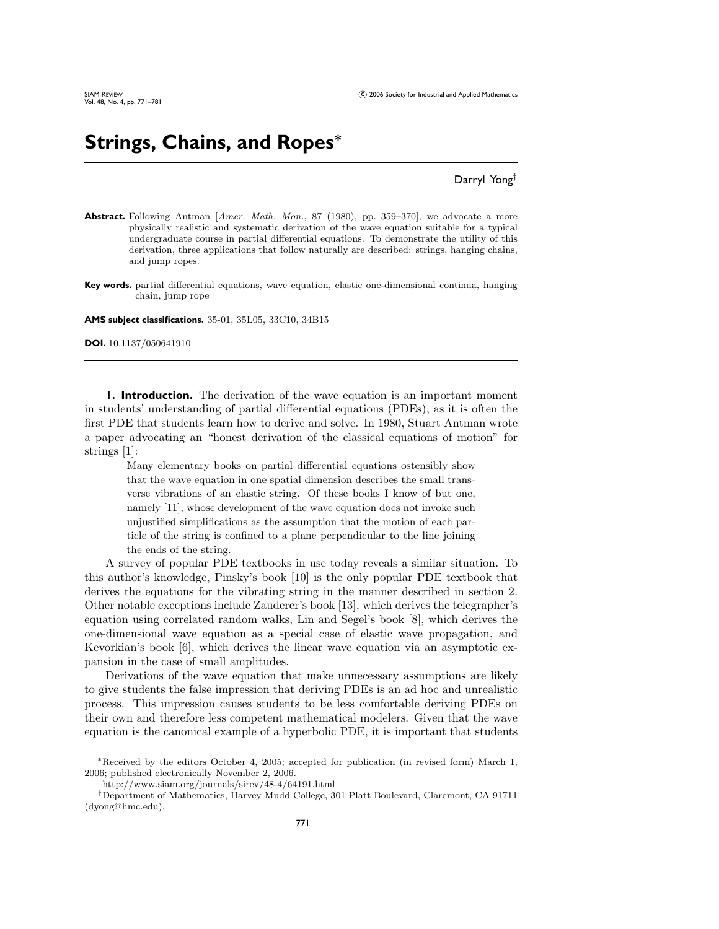# **Strings, Chains, and Ropes***<sup>∗</sup>*

## Darryl Yong†

- Abstract. Following Antman [Amer. Math. Mon., 87 (1980), pp. 359–370], we advocate a more physically realistic and systematic derivation of the wave equation suitable for a typical undergraduate course in partial differential equations. To demonstrate the utility of this derivation, three applications that follow naturally are described: strings, hanging chains, and jump ropes.
- **Key words.** partial differential equations, wave equation, elastic one-dimensional continua, hanging chain, jump rope

**AMS subject classifications.** 35-01, 35L05, 33C10, 34B15

**DOI.** 10.1137/050641910

**1. Introduction.** The derivation of the wave equation is an important moment in students' understanding of partial differential equations (PDEs), as it is often the first PDE that students learn how to derive and solve. In 1980, Stuart Antman wrote a paper advocating an "honest derivation of the classical equations of motion" for strings [1]:

Many elementary books on partial differential equations ostensibly show that the wave equation in one spatial dimension describes the small transverse vibrations of an elastic string. Of these books I know of but one, namely [11], whose development of the wave equation does not invoke such unjustified simplifications as the assumption that the motion of each particle of the string is confined to a plane perpendicular to the line joining the ends of the string.

A survey of popular PDE textbooks in use today reveals a similar situation. To this author's knowledge, Pinsky's book [10] is the only popular PDE textbook that derives the equations for the vibrating string in the manner described in section 2. Other notable exceptions include Zauderer's book [13], which derives the telegrapher's equation using correlated random walks, Lin and Segel's book [8], which derives the one-dimensional wave equation as a special case of elastic wave propagation, and Kevorkian's book [6], which derives the linear wave equation via an asymptotic expansion in the case of small amplitudes.

Derivations of the wave equation that make unnecessary assumptions are likely to give students the false impression that deriving PDEs is an ad hoc and unrealistic process. This impression causes students to be less comfortable deriving PDEs on their own and therefore less competent mathematical modelers. Given that the wave equation is the canonical example of a hyperbolic PDE, it is important that students

<sup>∗</sup>Received by the editors October 4, 2005; accepted for publication (in revised form) March 1, 2006; published electronically November 2, 2006.

http://www.siam.org/journals/sirev/48-4/64191.html

<sup>†</sup>Department of Mathematics, Harvey Mudd College, 301 Platt Boulevard, Claremont, CA 91711 (dyong@hmc.edu).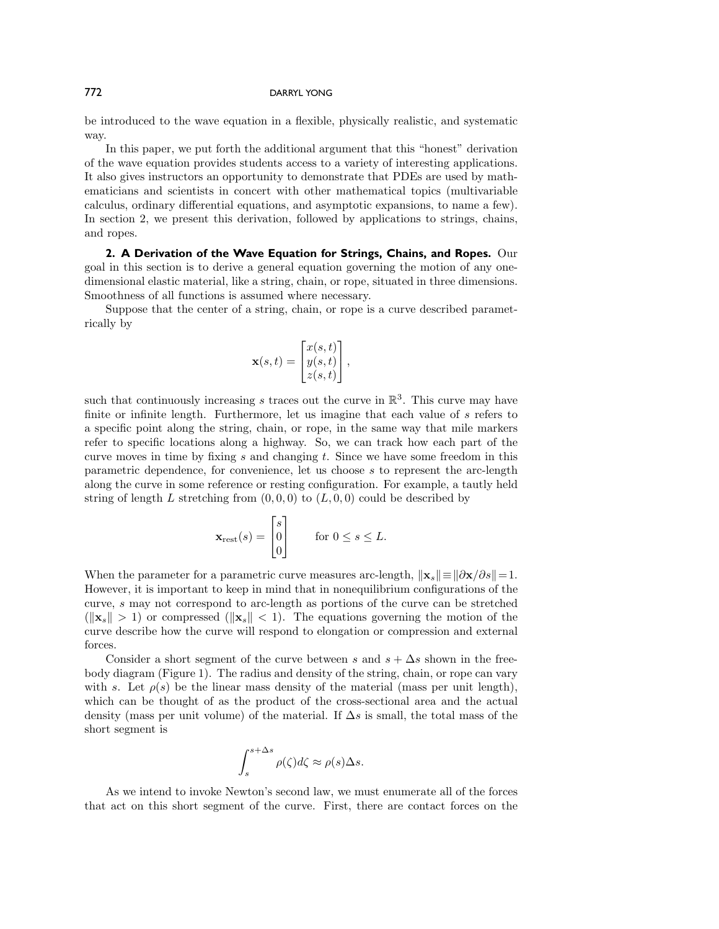### 772 DARRYL YONG

be introduced to the wave equation in a flexible, physically realistic, and systematic way.

In this paper, we put forth the additional argument that this "honest" derivation of the wave equation provides students access to a variety of interesting applications. It also gives instructors an opportunity to demonstrate that PDEs are used by mathematicians and scientists in concert with other mathematical topics (multivariable calculus, ordinary differential equations, and asymptotic expansions, to name a few). In section 2, we present this derivation, followed by applications to strings, chains, and ropes.

**2. A Derivation of the Wave Equation for Strings, Chains, and Ropes.** Our goal in this section is to derive a general equation governing the motion of any onedimensional elastic material, like a string, chain, or rope, situated in three dimensions. Smoothness of all functions is assumed where necessary.

Suppose that the center of a string, chain, or rope is a curve described parametrically by

$$
\mathbf{x}(s,t) = \begin{bmatrix} x(s,t) \\ y(s,t) \\ z(s,t) \end{bmatrix},
$$

such that continuously increasing s traces out the curve in  $\mathbb{R}^3$ . This curve may have finite or infinite length. Furthermore, let us imagine that each value of s refers to a specific point along the string, chain, or rope, in the same way that mile markers refer to specific locations along a highway. So, we can track how each part of the curve moves in time by fixing  $s$  and changing  $t$ . Since we have some freedom in this parametric dependence, for convenience, let us choose s to represent the arc-length along the curve in some reference or resting configuration. For example, a tautly held string of length L stretching from  $(0, 0, 0)$  to  $(L, 0, 0)$  could be described by

$$
\mathbf{x}_{\text{rest}}(s) = \begin{bmatrix} s \\ 0 \\ 0 \end{bmatrix} \quad \text{for } 0 \le s \le L.
$$

When the parameter for a parametric curve measures arc-length,  $\|\mathbf{x}_s\| \equiv \|\partial \mathbf{x}/\partial s\| = 1$ . However, it is important to keep in mind that in nonequilibrium configurations of the curve, s may not correspond to arc-length as portions of the curve can be stretched  $(\|\mathbf{x}_s\| > 1)$  or compressed  $(\|\mathbf{x}_s\| < 1)$ . The equations governing the motion of the curve describe how the curve will respond to elongation or compression and external forces.

Consider a short segment of the curve between s and  $s + \Delta s$  shown in the freebody diagram (Figure 1). The radius and density of the string, chain, or rope can vary with s. Let  $\rho(s)$  be the linear mass density of the material (mass per unit length), which can be thought of as the product of the cross-sectional area and the actual density (mass per unit volume) of the material. If  $\Delta s$  is small, the total mass of the short segment is

$$
\int_{s}^{s+\Delta s} \rho(\zeta) d\zeta \approx \rho(s) \Delta s.
$$

As we intend to invoke Newton's second law, we must enumerate all of the forces that act on this short segment of the curve. First, there are contact forces on the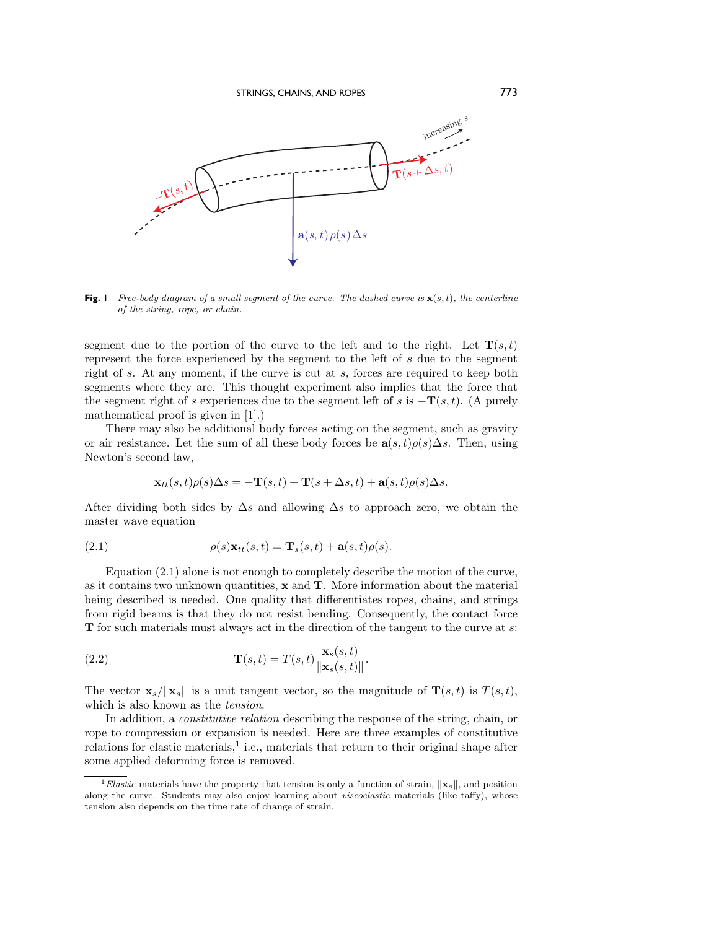

**Fig. 1** Free-body diagram of a small segment of the curve. The dashed curve is  $\mathbf{x}(s,t)$ , the centerline of the string, rope, or chain.

segment due to the portion of the curve to the left and to the right. Let  $\mathbf{T}(s,t)$ represent the force experienced by the segment to the left of s due to the segment right of s. At any moment, if the curve is cut at s, forces are required to keep both segments where they are. This thought experiment also implies that the force that the segment right of s experiences due to the segment left of s is  $-\mathbf{T}(s,t)$ . (A purely mathematical proof is given in [1].)

There may also be additional body forces acting on the segment, such as gravity or air resistance. Let the sum of all these body forces be  $\mathbf{a}(s,t)\rho(s)\Delta s$ . Then, using Newton's second law,

$$
\mathbf{x}_{tt}(s,t)\rho(s)\Delta s = -\mathbf{T}(s,t) + \mathbf{T}(s+\Delta s,t) + \mathbf{a}(s,t)\rho(s)\Delta s.
$$

After dividing both sides by  $\Delta s$  and allowing  $\Delta s$  to approach zero, we obtain the master wave equation

(2.1) 
$$
\rho(s)\mathbf{x}_{tt}(s,t) = \mathbf{T}_s(s,t) + \mathbf{a}(s,t)\rho(s).
$$

Equation (2.1) alone is not enough to completely describe the motion of the curve, as it contains two unknown quantities, **x** and **T**. More information about the material being described is needed. One quality that differentiates ropes, chains, and strings from rigid beams is that they do not resist bending. Consequently, the contact force **T** for such materials must always act in the direction of the tangent to the curve at s:

(2.2) 
$$
\mathbf{T}(s,t) = T(s,t) \frac{\mathbf{x}_s(s,t)}{\|\mathbf{x}_s(s,t)\|}.
$$

The vector  $\mathbf{x}_s/\|\mathbf{x}_s\|$  is a unit tangent vector, so the magnitude of  $\mathbf{T}(s,t)$  is  $T(s,t)$ , which is also known as the *tension*.

In addition, a *constitutive relation* describing the response of the string, chain, or rope to compression or expansion is needed. Here are three examples of constitutive relations for elastic materials, $\frac{1}{n}$  i.e., materials that return to their original shape after some applied deforming force is removed.

<sup>&</sup>lt;sup>1</sup> Elastic materials have the property that tension is only a function of strain,  $\|\mathbf{x}_s\|$ , and position along the curve. Students may also enjoy learning about viscoelastic materials (like taffy), whose tension also depends on the time rate of change of strain.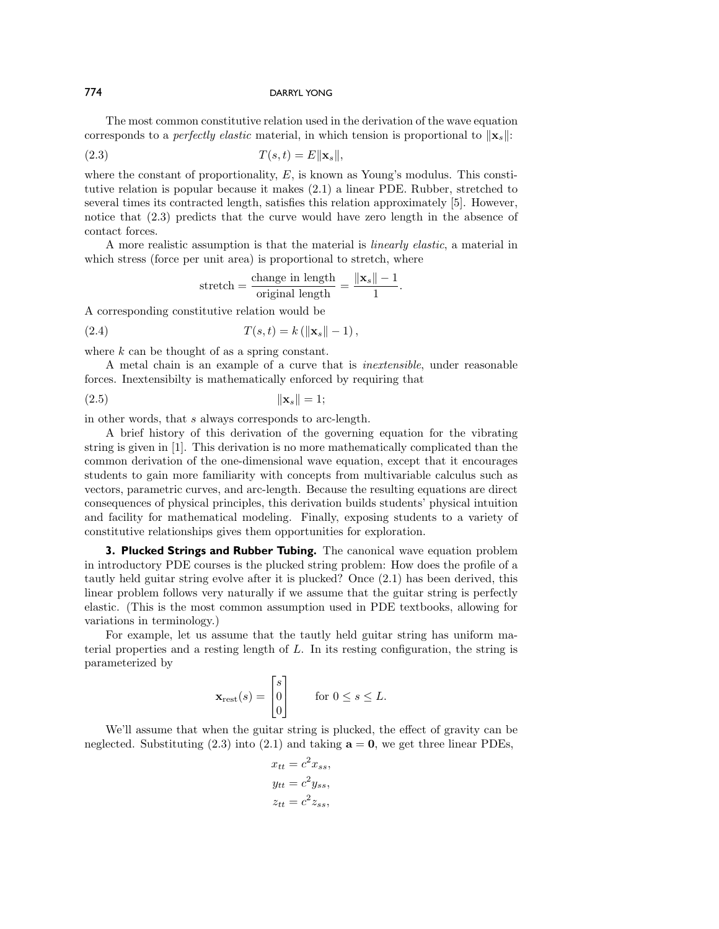### 774 DARRYL YONG

The most common constitutive relation used in the derivation of the wave equation corresponds to a *perfectly elastic* material, in which tension is proportional to  $\|\mathbf{x}_s\|$ :

$$
(2.3) \t\t T(s,t) = E\|\mathbf{x}_s\|,
$$

where the constant of proportionality,  $E$ , is known as Young's modulus. This constitutive relation is popular because it makes (2.1) a linear PDE. Rubber, stretched to several times its contracted length, satisfies this relation approximately [5]. However, notice that (2.3) predicts that the curve would have zero length in the absence of contact forces.

A more realistic assumption is that the material is linearly elastic, a material in which stress (force per unit area) is proportional to stretch, where

$$
stretch = \frac{change \text{ in length}}{\text{original length}} = \frac{\|\mathbf{x}_s\| - 1}{1}.
$$

A corresponding constitutive relation would be

(2.4) 
$$
T(s,t) = k (||\mathbf{x}_s|| - 1),
$$

where  $k$  can be thought of as a spring constant.

A metal chain is an example of a curve that is inextensible, under reasonable forces. Inextensibilty is mathematically enforced by requiring that

$$
\|\mathbf{x}_s\| = 1;
$$

in other words, that s always corresponds to arc-length.

A brief history of this derivation of the governing equation for the vibrating string is given in [1]. This derivation is no more mathematically complicated than the common derivation of the one-dimensional wave equation, except that it encourages students to gain more familiarity with concepts from multivariable calculus such as vectors, parametric curves, and arc-length. Because the resulting equations are direct consequences of physical principles, this derivation builds students' physical intuition and facility for mathematical modeling. Finally, exposing students to a variety of constitutive relationships gives them opportunities for exploration.

**3. Plucked Strings and Rubber Tubing.** The canonical wave equation problem in introductory PDE courses is the plucked string problem: How does the profile of a tautly held guitar string evolve after it is plucked? Once (2.1) has been derived, this linear problem follows very naturally if we assume that the guitar string is perfectly elastic. (This is the most common assumption used in PDE textbooks, allowing for variations in terminology.)

For example, let us assume that the tautly held guitar string has uniform material properties and a resting length of L. In its resting configuration, the string is parameterized by

$$
\mathbf{x}_{\text{rest}}(s) = \begin{bmatrix} s \\ 0 \\ 0 \end{bmatrix} \quad \text{for } 0 \le s \le L.
$$

We'll assume that when the guitar string is plucked, the effect of gravity can be neglected. Substituting  $(2.3)$  into  $(2.1)$  and taking  $\mathbf{a} = \mathbf{0}$ , we get three linear PDEs,

$$
x_{tt} = c^2 x_{ss},
$$
  

$$
y_{tt} = c^2 y_{ss},
$$
  

$$
z_{tt} = c^2 z_{ss},
$$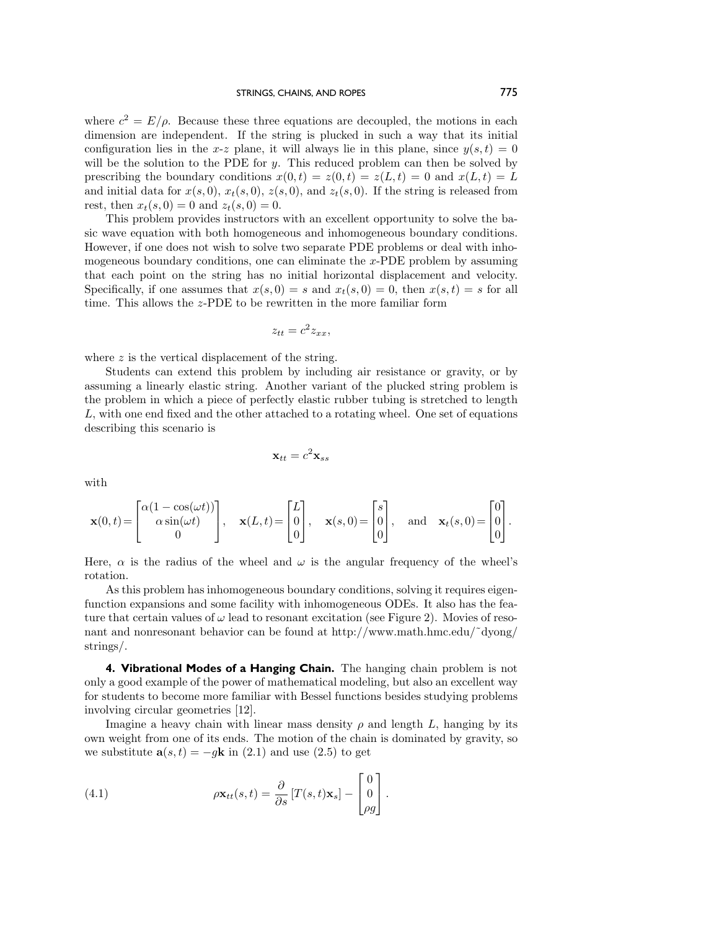where  $c^2 = E/\rho$ . Because these three equations are decoupled, the motions in each dimension are independent. If the string is plucked in such a way that its initial configuration lies in the x-z plane, it will always lie in this plane, since  $y(s,t)=0$ will be the solution to the PDE for  $y$ . This reduced problem can then be solved by prescribing the boundary conditions  $x(0, t) = z(0, t) = z(L, t) = 0$  and  $x(L, t) = L$ and initial data for  $x(s, 0), x_t(s, 0), z(s, 0),$  and  $z_t(s, 0)$ . If the string is released from rest, then  $x_t(s, 0) = 0$  and  $z_t(s, 0) = 0$ .

This problem provides instructors with an excellent opportunity to solve the basic wave equation with both homogeneous and inhomogeneous boundary conditions. However, if one does not wish to solve two separate PDE problems or deal with inhomogeneous boundary conditions, one can eliminate the  $x$ -PDE problem by assuming that each point on the string has no initial horizontal displacement and velocity. Specifically, if one assumes that  $x(s, 0) = s$  and  $x_t(s, 0) = 0$ , then  $x(s, t) = s$  for all time. This allows the z-PDE to be rewritten in the more familiar form

$$
z_{tt} = c^2 z_{xx},
$$

where  $z$  is the vertical displacement of the string.

Students can extend this problem by including air resistance or gravity, or by assuming a linearly elastic string. Another variant of the plucked string problem is the problem in which a piece of perfectly elastic rubber tubing is stretched to length L, with one end fixed and the other attached to a rotating wheel. One set of equations describing this scenario is

$$
\mathbf{x}_{tt} = c^2 \mathbf{x}_{ss}
$$

with

$$
\mathbf{x}(0,t) = \begin{bmatrix} \alpha(1-\cos(\omega t)) \\ \alpha\sin(\omega t) \\ 0 \end{bmatrix}, \quad \mathbf{x}(L,t) = \begin{bmatrix} L \\ 0 \\ 0 \end{bmatrix}, \quad \mathbf{x}(s,0) = \begin{bmatrix} s \\ 0 \\ 0 \end{bmatrix}, \quad \text{and} \quad \mathbf{x}_t(s,0) = \begin{bmatrix} 0 \\ 0 \\ 0 \end{bmatrix}.
$$

Here,  $\alpha$  is the radius of the wheel and  $\omega$  is the angular frequency of the wheel's rotation.

As this problem has inhomogeneous boundary conditions, solving it requires eigenfunction expansions and some facility with inhomogeneous ODEs. It also has the feature that certain values of  $\omega$  lead to resonant excitation (see Figure 2). Movies of resonant and nonresonant behavior can be found at [http://www.math.hmc.edu/˜dyong/](http://www.math.hmc.edu/~dyong/strings/) [strings/](http://www.math.hmc.edu/~dyong/strings/).

**4. Vibrational Modes of a Hanging Chain.** The hanging chain problem is not only a good example of the power of mathematical modeling, but also an excellent way for students to become more familiar with Bessel functions besides studying problems involving circular geometries [12].

Imagine a heavy chain with linear mass density  $\rho$  and length  $L$ , hanging by its own weight from one of its ends. The motion of the chain is dominated by gravity, so we substitute  $\mathbf{a}(s,t) = -g\mathbf{k}$  in (2.1) and use (2.5) to get

(4.1) 
$$
\rho \mathbf{x}_{tt}(s,t) = \frac{\partial}{\partial s} [T(s,t)\mathbf{x}_s] - \begin{bmatrix} 0\\0\\ \rho g \end{bmatrix}.
$$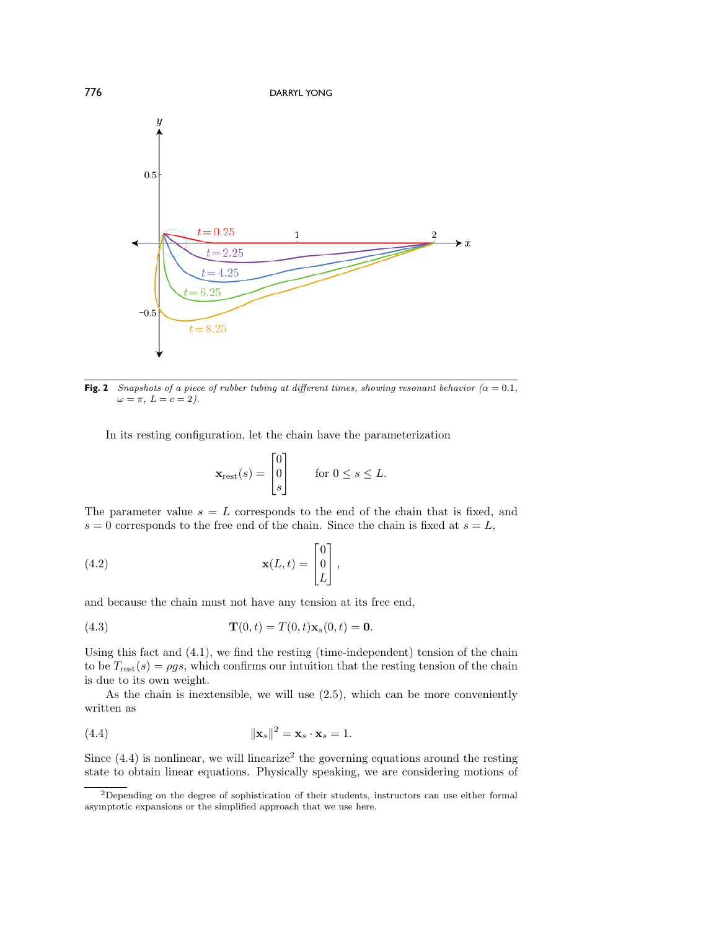

**Fig. 2** Snapshots of a piece of rubber tubing at different times, showing resonant behavior ( $\alpha = 0.1$ ,  $\omega = \pi$ ,  $L = c = 2$ ).

In its resting configuration, let the chain have the parameterization

$$
\mathbf{x}_{\text{rest}}(s) = \begin{bmatrix} 0 \\ 0 \\ s \end{bmatrix} \quad \text{for } 0 \le s \le L.
$$

The parameter value  $s = L$  corresponds to the end of the chain that is fixed, and  $s = 0$  corresponds to the free end of the chain. Since the chain is fixed at  $s = L$ ,

(4.2) 
$$
\mathbf{x}(L,t) = \begin{bmatrix} 0 \\ 0 \\ L \end{bmatrix},
$$

and because the chain must not have any tension at its free end,

(4.3) 
$$
\mathbf{T}(0,t) = T(0,t)\mathbf{x}_s(0,t) = \mathbf{0}.
$$

Using this fact and (4.1), we find the resting (time-independent) tension of the chain to be  $T_{\text{rest}}(s) = \rho gs$ , which confirms our intuition that the resting tension of the chain is due to its own weight.

As the chain is inextensible, we will use (2.5), which can be more conveniently written as

$$
||\mathbf{x}_s||^2 = \mathbf{x}_s \cdot \mathbf{x}_s = 1.
$$

Since  $(4.4)$  is nonlinear, we will linearize<sup>2</sup> the governing equations around the resting state to obtain linear equations. Physically speaking, we are considering motions of

<sup>&</sup>lt;sup>2</sup>Depending on the degree of sophistication of their students, instructors can use either formal asymptotic expansions or the simplified approach that we use here.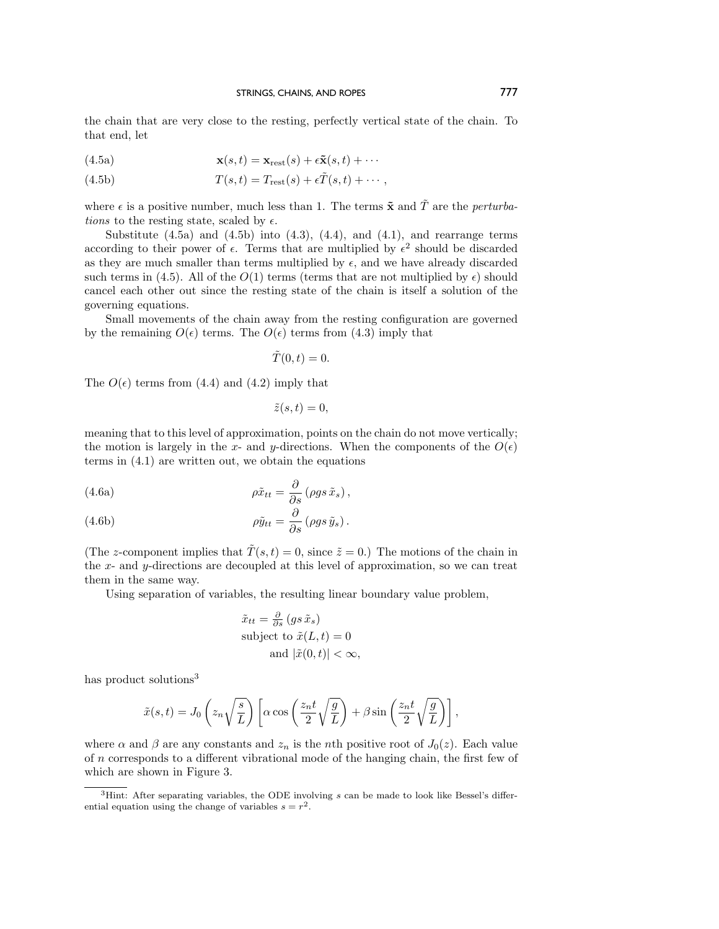the chain that are very close to the resting, perfectly vertical state of the chain. To that end, let

(4.5a) 
$$
\mathbf{x}(s,t) = \mathbf{x}_{\text{rest}}(s) + \epsilon \tilde{\mathbf{x}}(s,t) + \cdots
$$

(4.5b) 
$$
T(s,t) = T_{\text{rest}}(s) + \epsilon \tilde{T}(s,t) + \cdots,
$$

where  $\epsilon$  is a positive number, much less than 1. The terms  $\tilde{\mathbf{x}}$  and  $\tilde{T}$  are the *perturba*tions to the resting state, scaled by  $\epsilon$ .

Substitute  $(4.5a)$  and  $(4.5b)$  into  $(4.3)$ ,  $(4.4)$ , and  $(4.1)$ , and rearrange terms according to their power of  $\epsilon$ . Terms that are multiplied by  $\epsilon^2$  should be discarded as they are much smaller than terms multiplied by  $\epsilon$ , and we have already discarded such terms in (4.5). All of the  $O(1)$  terms (terms that are not multiplied by  $\epsilon$ ) should cancel each other out since the resting state of the chain is itself a solution of the governing equations.

Small movements of the chain away from the resting configuration are governed by the remaining  $O(\epsilon)$  terms. The  $O(\epsilon)$  terms from (4.3) imply that

 $\tilde{T}(0,t)=0.$ 

The  $O(\epsilon)$  terms from (4.4) and (4.2) imply that

$$
\tilde{z}(s,t)=0,
$$

meaning that to this level of approximation, points on the chain do not move vertically; the motion is largely in the x- and y-directions. When the components of the  $O(\epsilon)$ terms in (4.1) are written out, we obtain the equations

(4.6a) 
$$
\rho \tilde{x}_{tt} = \frac{\partial}{\partial s} (\rho gs \tilde{x}_s),
$$

(4.6b) 
$$
\rho \tilde{y}_{tt} = \frac{\partial}{\partial s} (\rho g s \tilde{y}_s).
$$

(The z-component implies that  $\tilde{T}(s,t) = 0$ , since  $\tilde{z} = 0$ .) The motions of the chain in the x- and y-directions are decoupled at this level of approximation, so we can treat them in the same way.

Using separation of variables, the resulting linear boundary value problem,

$$
\tilde{x}_{tt} = \frac{\partial}{\partial s} (gs \tilde{x}_s)
$$
  
subject to  $\tilde{x}(L, t) = 0$   
and  $|\tilde{x}(0, t)| < \infty$ ,

has product solutions<sup>3</sup>

$$
\tilde{x}(s,t) = J_0\left(z_n\sqrt{\frac{s}{L}}\right) \left[\alpha \cos\left(\frac{z_n t}{2}\sqrt{\frac{g}{L}}\right) + \beta \sin\left(\frac{z_n t}{2}\sqrt{\frac{g}{L}}\right)\right],
$$

where  $\alpha$  and  $\beta$  are any constants and  $z_n$  is the nth positive root of  $J_0(z)$ . Each value of  $n$  corresponds to a different vibrational mode of the hanging chain, the first few of which are shown in Figure 3.

 ${}^{3}$ Hint: After separating variables, the ODE involving s can be made to look like Bessel's differential equation using the change of variables  $s = r^2$ .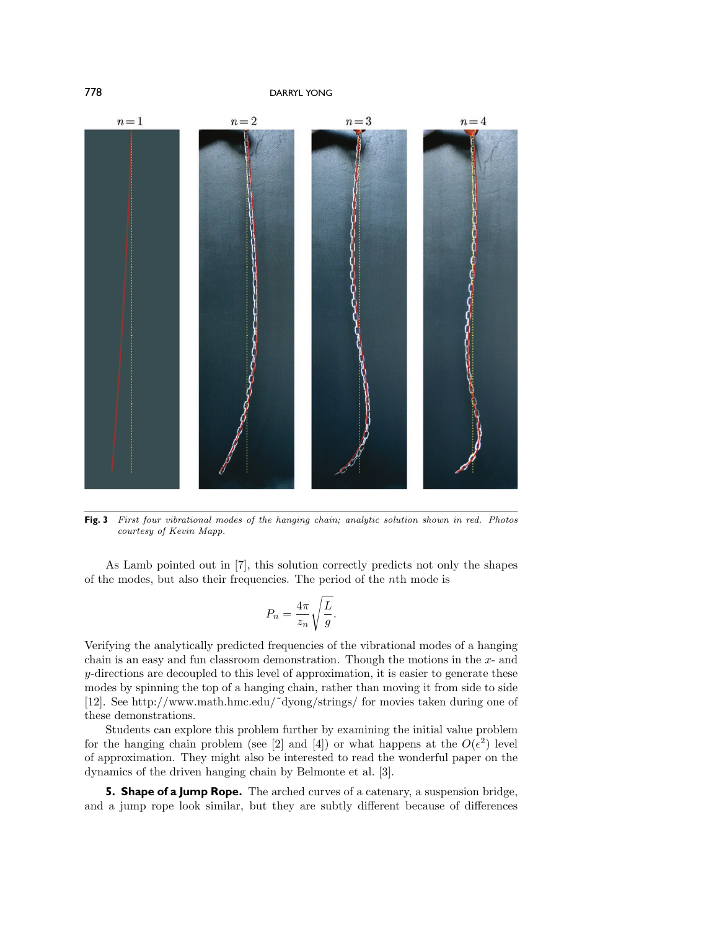

**Fig. 3** First four vibrational modes of the hanging chain; analytic solution shown in red. Photos courtesy of Kevin Mapp.

As Lamb pointed out in [7], this solution correctly predicts not only the shapes of the modes, but also their frequencies. The period of the nth mode is

$$
P_n = \frac{4\pi}{z_n} \sqrt{\frac{L}{g}}.
$$

Verifying the analytically predicted frequencies of the vibrational modes of a hanging chain is an easy and fun classroom demonstration. Though the motions in the  $x$ - and  $y$ -directions are decoupled to this level of approximation, it is easier to generate these modes by spinning the top of a hanging chain, rather than moving it from side to side [12]. See [http://www.math.hmc.edu/˜dyong/strings/](http://www.math.hmc.edu/~dyong/strings/) for movies taken during one of these demonstrations.

Students can explore this problem further by examining the initial value problem for the hanging chain problem (see [2] and [4]) or what happens at the  $O(\epsilon^2)$  level of approximation. They might also be interested to read the wonderful paper on the dynamics of the driven hanging chain by Belmonte et al. [3].

**5. Shape of a Jump Rope.** The arched curves of a catenary, a suspension bridge, and a jump rope look similar, but they are subtly different because of differences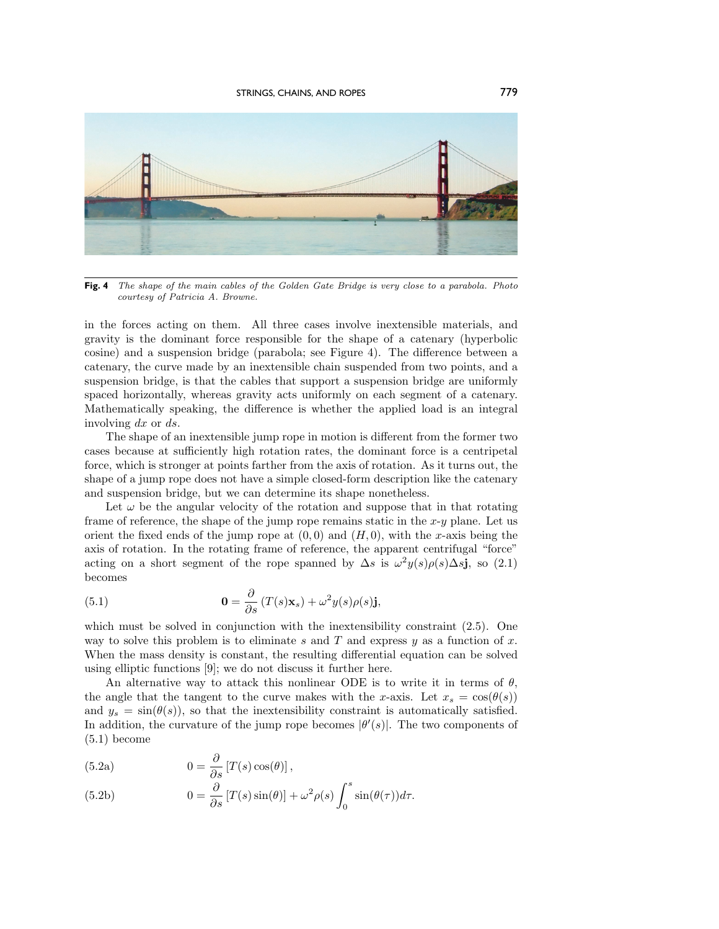

**Fig. 4** The shape of the main cables of the Golden Gate Bridge is very close to a parabola. Photo courtesy of Patricia A. Browne.

in the forces acting on them. All three cases involve inextensible materials, and gravity is the dominant force responsible for the shape of a catenary (hyperbolic cosine) and a suspension bridge (parabola; see Figure 4). The difference between a catenary, the curve made by an inextensible chain suspended from two points, and a suspension bridge, is that the cables that support a suspension bridge are uniformly spaced horizontally, whereas gravity acts uniformly on each segment of a catenary. Mathematically speaking, the difference is whether the applied load is an integral involving dx or ds.

The shape of an inextensible jump rope in motion is different from the former two cases because at sufficiently high rotation rates, the dominant force is a centripetal force, which is stronger at points farther from the axis of rotation. As it turns out, the shape of a jump rope does not have a simple closed-form description like the catenary and suspension bridge, but we can determine its shape nonetheless.

Let  $\omega$  be the angular velocity of the rotation and suppose that in that rotating frame of reference, the shape of the jump rope remains static in the  $x-y$  plane. Let us orient the fixed ends of the jump rope at  $(0, 0)$  and  $(H, 0)$ , with the x-axis being the axis of rotation. In the rotating frame of reference, the apparent centrifugal "force" acting on a short segment of the rope spanned by  $\Delta s$  is  $\omega^2 y(s)\rho(s)\Delta s$ **j**, so (2.1) becomes

(5.1) 
$$
\mathbf{0} = \frac{\partial}{\partial s} (T(s)\mathbf{x}_s) + \omega^2 y(s)\rho(s)\mathbf{j},
$$

which must be solved in conjunction with the inextensibility constraint  $(2.5)$ . One way to solve this problem is to eliminate s and T and express y as a function of x. When the mass density is constant, the resulting differential equation can be solved using elliptic functions [9]; we do not discuss it further here.

An alternative way to attack this nonlinear ODE is to write it in terms of  $\theta$ , the angle that the tangent to the curve makes with the x-axis. Let  $x_s = \cos(\theta(s))$ and  $y_s = \sin(\theta(s))$ , so that the inextensibility constraint is automatically satisfied. In addition, the curvature of the jump rope becomes  $|\theta'(s)|$ . The two components of  $(5.1)$  become

(5.2a) 
$$
0 = \frac{\partial}{\partial s} [T(s) \cos(\theta)],
$$

(5.2b) 
$$
0 = \frac{\partial}{\partial s} [T(s) \sin(\theta)] + \omega^2 \rho(s) \int_0^s \sin(\theta(\tau)) d\tau.
$$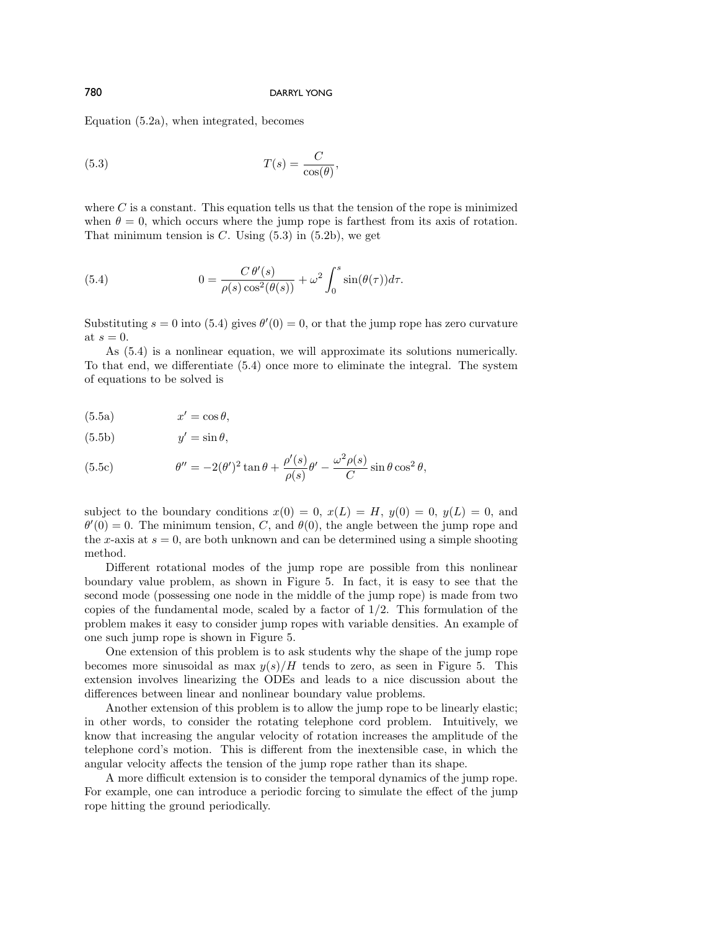Equation (5.2a), when integrated, becomes

(5.3) 
$$
T(s) = \frac{C}{\cos(\theta)},
$$

where  $C$  is a constant. This equation tells us that the tension of the rope is minimized when  $\theta = 0$ , which occurs where the jump rope is farthest from its axis of rotation. That minimum tension is C. Using  $(5.3)$  in  $(5.2b)$ , we get

(5.4) 
$$
0 = \frac{C \theta'(s)}{\rho(s) \cos^2(\theta(s))} + \omega^2 \int_0^s \sin(\theta(\tau)) d\tau.
$$

Substituting  $s = 0$  into (5.4) gives  $\theta'(0) = 0$ , or that the jump rope has zero curvature at  $s = 0$ .

As (5.4) is a nonlinear equation, we will approximate its solutions numerically. To that end, we differentiate (5.4) once more to eliminate the integral. The system of equations to be solved is

$$
(5.5a) \t x' = \cos \theta,
$$

$$
(5.5b) \t\t y' = \sin \theta,
$$

(5.5c) 
$$
\theta'' = -2(\theta')^2 \tan \theta + \frac{\rho'(s)}{\rho(s)} \theta' - \frac{\omega^2 \rho(s)}{C} \sin \theta \cos^2 \theta,
$$

subject to the boundary conditions  $x(0) = 0$ ,  $x(L) = H$ ,  $y(0) = 0$ ,  $y(L) = 0$ , and  $\theta'(0) = 0$ . The minimum tension, C, and  $\theta(0)$ , the angle between the jump rope and the x-axis at  $s = 0$ , are both unknown and can be determined using a simple shooting method.

Different rotational modes of the jump rope are possible from this nonlinear boundary value problem, as shown in Figure 5. In fact, it is easy to see that the second mode (possessing one node in the middle of the jump rope) is made from two copies of the fundamental mode, scaled by a factor of  $1/2$ . This formulation of the problem makes it easy to consider jump ropes with variable densities. An example of one such jump rope is shown in Figure 5.

One extension of this problem is to ask students why the shape of the jump rope becomes more sinusoidal as max  $y(s)/H$  tends to zero, as seen in Figure 5. This extension involves linearizing the ODEs and leads to a nice discussion about the differences between linear and nonlinear boundary value problems.

Another extension of this problem is to allow the jump rope to be linearly elastic; in other words, to consider the rotating telephone cord problem. Intuitively, we know that increasing the angular velocity of rotation increases the amplitude of the telephone cord's motion. This is different from the inextensible case, in which the angular velocity affects the tension of the jump rope rather than its shape.

A more difficult extension is to consider the temporal dynamics of the jump rope. For example, one can introduce a periodic forcing to simulate the effect of the jump rope hitting the ground periodically.